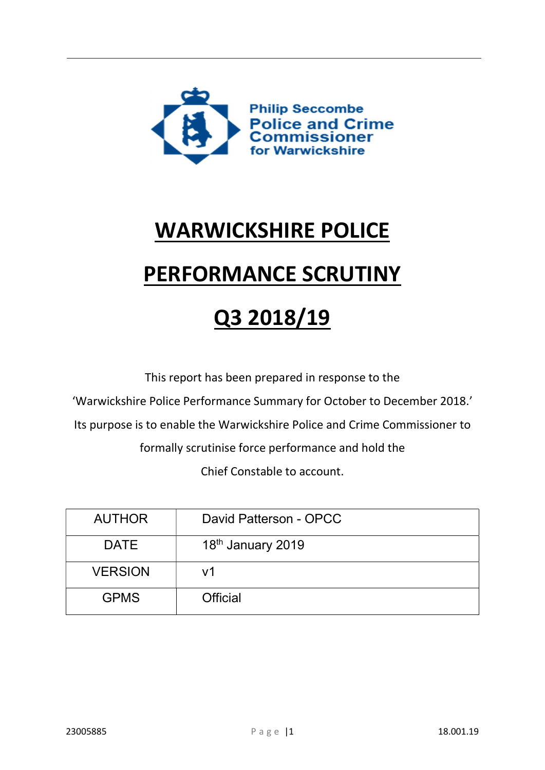

# WARWICKSHIRE POLICE

# PERFORMANCE SCRUTINY

# Q3 2018/19

This report has been prepared in response to the

'Warwickshire Police Performance Summary for October to December 2018.'

Its purpose is to enable the Warwickshire Police and Crime Commissioner to

formally scrutinise force performance and hold the

Chief Constable to account.

| <b>AUTHOR</b>  | David Patterson - OPCC        |
|----------------|-------------------------------|
| <b>DATE</b>    | 18 <sup>th</sup> January 2019 |
| <b>VERSION</b> | v1                            |
| <b>GPMS</b>    | <b>Official</b>               |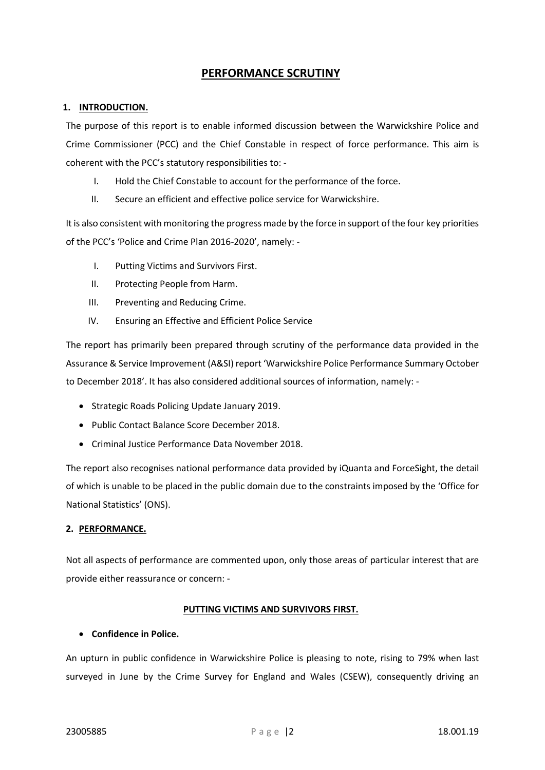# PERFORMANCE SCRUTINY

### 1. INTRODUCTION.

The purpose of this report is to enable informed discussion between the Warwickshire Police and Crime Commissioner (PCC) and the Chief Constable in respect of force performance. This aim is coherent with the PCC's statutory responsibilities to: -

- I. Hold the Chief Constable to account for the performance of the force.
- II. Secure an efficient and effective police service for Warwickshire.

It is also consistent with monitoring the progress made by the force in support of the four key priorities of the PCC's 'Police and Crime Plan 2016-2020', namely: -

- I. Putting Victims and Survivors First.
- II. Protecting People from Harm.
- III. Preventing and Reducing Crime.
- IV. Ensuring an Effective and Efficient Police Service

The report has primarily been prepared through scrutiny of the performance data provided in the Assurance & Service Improvement (A&SI) report 'Warwickshire Police Performance Summary October to December 2018'. It has also considered additional sources of information, namely: -

- Strategic Roads Policing Update January 2019.
- Public Contact Balance Score December 2018.
- Criminal Justice Performance Data November 2018.

The report also recognises national performance data provided by iQuanta and ForceSight, the detail of which is unable to be placed in the public domain due to the constraints imposed by the 'Office for National Statistics' (ONS).

# 2. PERFORMANCE.

Not all aspects of performance are commented upon, only those areas of particular interest that are provide either reassurance or concern: -

# PUTTING VICTIMS AND SURVIVORS FIRST.

#### Confidence in Police.

An upturn in public confidence in Warwickshire Police is pleasing to note, rising to 79% when last surveyed in June by the Crime Survey for England and Wales (CSEW), consequently driving an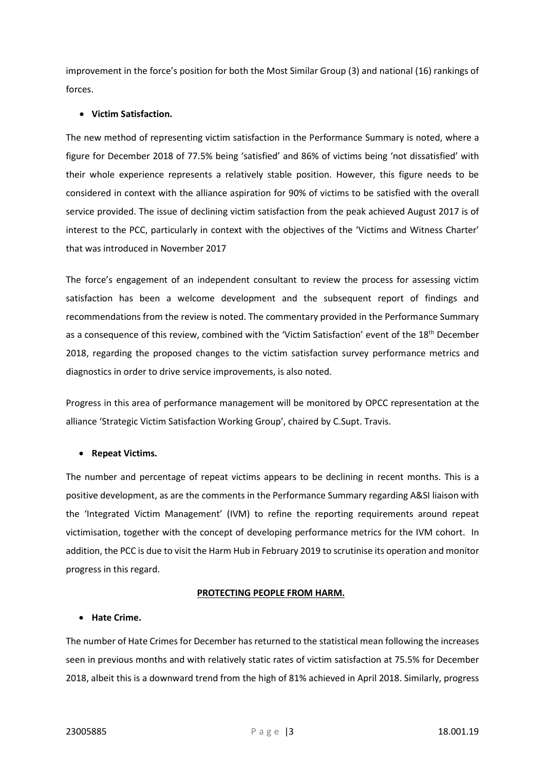improvement in the force's position for both the Most Similar Group (3) and national (16) rankings of forces.

## Victim Satisfaction.

The new method of representing victim satisfaction in the Performance Summary is noted, where a figure for December 2018 of 77.5% being 'satisfied' and 86% of victims being 'not dissatisfied' with their whole experience represents a relatively stable position. However, this figure needs to be considered in context with the alliance aspiration for 90% of victims to be satisfied with the overall service provided. The issue of declining victim satisfaction from the peak achieved August 2017 is of interest to the PCC, particularly in context with the objectives of the 'Victims and Witness Charter' that was introduced in November 2017

The force's engagement of an independent consultant to review the process for assessing victim satisfaction has been a welcome development and the subsequent report of findings and recommendations from the review is noted. The commentary provided in the Performance Summary as a consequence of this review, combined with the 'Victim Satisfaction' event of the 18<sup>th</sup> December 2018, regarding the proposed changes to the victim satisfaction survey performance metrics and diagnostics in order to drive service improvements, is also noted.

Progress in this area of performance management will be monitored by OPCC representation at the alliance 'Strategic Victim Satisfaction Working Group', chaired by C.Supt. Travis.

#### Repeat Victims.

The number and percentage of repeat victims appears to be declining in recent months. This is a positive development, as are the comments in the Performance Summary regarding A&SI liaison with the 'Integrated Victim Management' (IVM) to refine the reporting requirements around repeat victimisation, together with the concept of developing performance metrics for the IVM cohort. In addition, the PCC is due to visit the Harm Hub in February 2019 to scrutinise its operation and monitor progress in this regard.

#### PROTECTING PEOPLE FROM HARM.

## Hate Crime.

The number of Hate Crimes for December has returned to the statistical mean following the increases seen in previous months and with relatively static rates of victim satisfaction at 75.5% for December 2018, albeit this is a downward trend from the high of 81% achieved in April 2018. Similarly, progress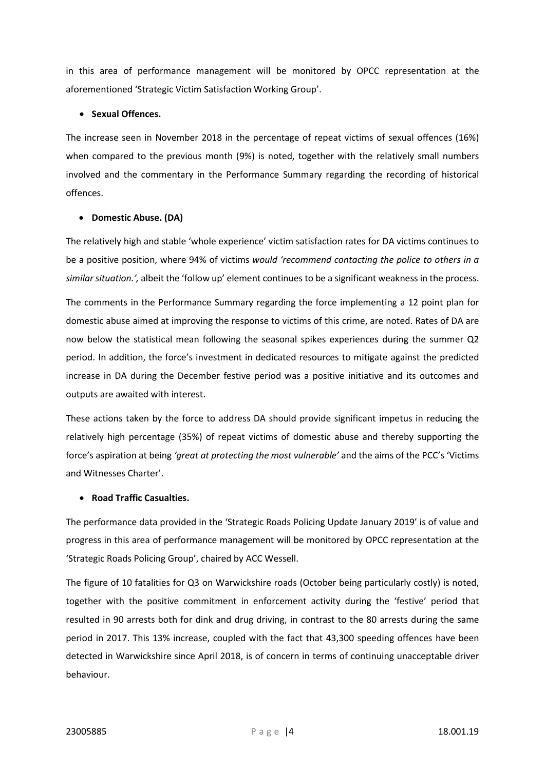in this area of performance management will be monitored by OPCC representation at the aforementioned 'Strategic Victim Satisfaction Working Group'.

### • Sexual Offences.

The increase seen in November 2018 in the percentage of repeat victims of sexual offences (16%) when compared to the previous month (9%) is noted, together with the relatively small numbers involved and the commentary in the Performance Summary regarding the recording of historical offences.

## • Domestic Abuse. (DA)

The relatively high and stable 'whole experience' victim satisfaction rates for DA victims continues to be a positive position, where 94% of victims would 'recommend contacting the police to others in a similar situation.', albeit the 'follow up' element continues to be a significant weakness in the process.

The comments in the Performance Summary regarding the force implementing a 12 point plan for domestic abuse aimed at improving the response to victims of this crime, are noted. Rates of DA are now below the statistical mean following the seasonal spikes experiences during the summer Q2 period. In addition, the force's investment in dedicated resources to mitigate against the predicted increase in DA during the December festive period was a positive initiative and its outcomes and outputs are awaited with interest.

These actions taken by the force to address DA should provide significant impetus in reducing the relatively high percentage (35%) of repeat victims of domestic abuse and thereby supporting the force's aspiration at being 'great at protecting the most vulnerable' and the aims of the PCC's 'Victims and Witnesses Charter'.

# Road Traffic Casualties.

The performance data provided in the 'Strategic Roads Policing Update January 2019' is of value and progress in this area of performance management will be monitored by OPCC representation at the 'Strategic Roads Policing Group', chaired by ACC Wessell.

The figure of 10 fatalities for Q3 on Warwickshire roads (October being particularly costly) is noted, together with the positive commitment in enforcement activity during the 'festive' period that resulted in 90 arrests both for dink and drug driving, in contrast to the 80 arrests during the same period in 2017. This 13% increase, coupled with the fact that 43,300 speeding offences have been detected in Warwickshire since April 2018, is of concern in terms of continuing unacceptable driver behaviour.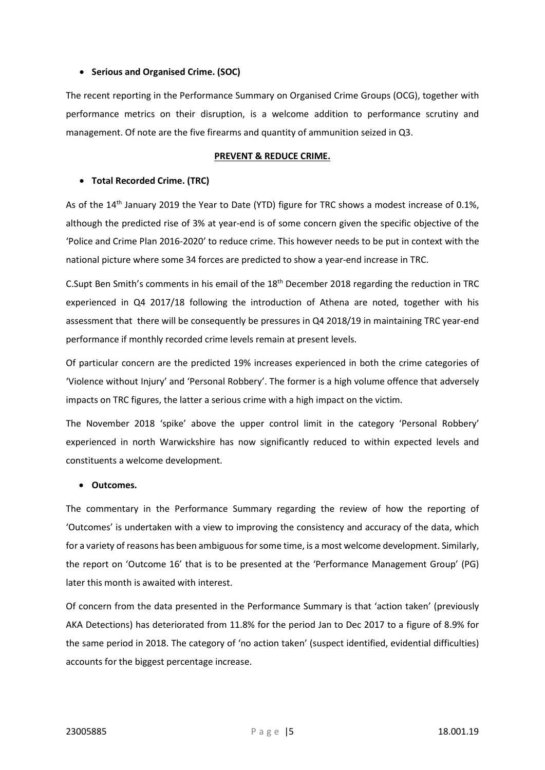#### • Serious and Organised Crime. (SOC)

The recent reporting in the Performance Summary on Organised Crime Groups (OCG), together with performance metrics on their disruption, is a welcome addition to performance scrutiny and management. Of note are the five firearms and quantity of ammunition seized in Q3.

#### PREVENT & REDUCE CRIME.

#### Total Recorded Crime. (TRC)

As of the 14<sup>th</sup> January 2019 the Year to Date (YTD) figure for TRC shows a modest increase of 0.1%, although the predicted rise of 3% at year-end is of some concern given the specific objective of the 'Police and Crime Plan 2016-2020' to reduce crime. This however needs to be put in context with the national picture where some 34 forces are predicted to show a year-end increase in TRC.

C.Supt Ben Smith's comments in his email of the 18th December 2018 regarding the reduction in TRC experienced in Q4 2017/18 following the introduction of Athena are noted, together with his assessment that there will be consequently be pressures in Q4 2018/19 in maintaining TRC year-end performance if monthly recorded crime levels remain at present levels.

Of particular concern are the predicted 19% increases experienced in both the crime categories of 'Violence without Injury' and 'Personal Robbery'. The former is a high volume offence that adversely impacts on TRC figures, the latter a serious crime with a high impact on the victim.

The November 2018 'spike' above the upper control limit in the category 'Personal Robbery' experienced in north Warwickshire has now significantly reduced to within expected levels and constituents a welcome development.

#### Outcomes.

The commentary in the Performance Summary regarding the review of how the reporting of 'Outcomes' is undertaken with a view to improving the consistency and accuracy of the data, which for a variety of reasons has been ambiguous for some time, is a most welcome development. Similarly, the report on 'Outcome 16' that is to be presented at the 'Performance Management Group' (PG) later this month is awaited with interest.

Of concern from the data presented in the Performance Summary is that 'action taken' (previously AKA Detections) has deteriorated from 11.8% for the period Jan to Dec 2017 to a figure of 8.9% for the same period in 2018. The category of 'no action taken' (suspect identified, evidential difficulties) accounts for the biggest percentage increase.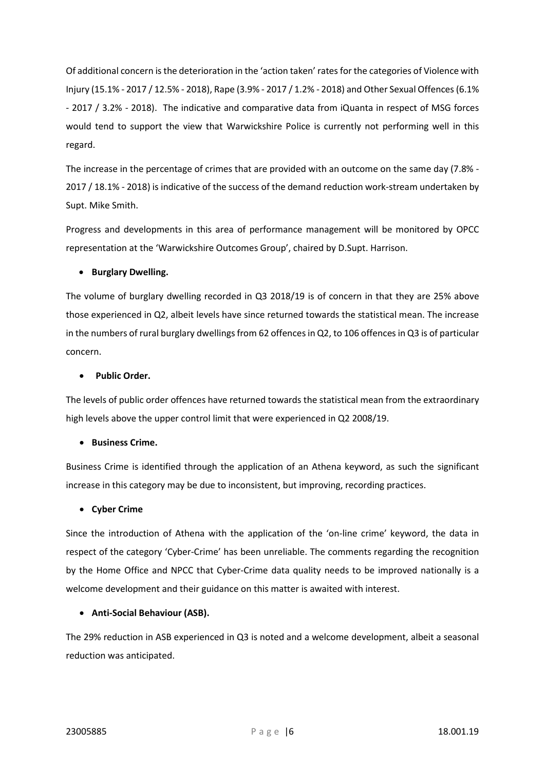Of additional concern is the deterioration in the 'action taken' rates for the categories of Violence with Injury (15.1% - 2017 / 12.5% - 2018), Rape (3.9% - 2017 / 1.2% - 2018) and Other Sexual Offences (6.1% - 2017 / 3.2% - 2018). The indicative and comparative data from iQuanta in respect of MSG forces would tend to support the view that Warwickshire Police is currently not performing well in this regard.

The increase in the percentage of crimes that are provided with an outcome on the same day (7.8% - 2017 / 18.1% - 2018) is indicative of the success of the demand reduction work-stream undertaken by Supt. Mike Smith.

Progress and developments in this area of performance management will be monitored by OPCC representation at the 'Warwickshire Outcomes Group', chaired by D.Supt. Harrison.

## **•** Burglary Dwelling.

The volume of burglary dwelling recorded in Q3 2018/19 is of concern in that they are 25% above those experienced in Q2, albeit levels have since returned towards the statistical mean. The increase in the numbers of rural burglary dwellings from 62 offences in Q2, to 106 offences in Q3 is of particular concern.

## Public Order.

The levels of public order offences have returned towards the statistical mean from the extraordinary high levels above the upper control limit that were experienced in Q2 2008/19.

#### **•** Business Crime.

Business Crime is identified through the application of an Athena keyword, as such the significant increase in this category may be due to inconsistent, but improving, recording practices.

#### Cyber Crime

Since the introduction of Athena with the application of the 'on-line crime' keyword, the data in respect of the category 'Cyber-Crime' has been unreliable. The comments regarding the recognition by the Home Office and NPCC that Cyber-Crime data quality needs to be improved nationally is a welcome development and their guidance on this matter is awaited with interest.

#### Anti-Social Behaviour (ASB).

The 29% reduction in ASB experienced in Q3 is noted and a welcome development, albeit a seasonal reduction was anticipated.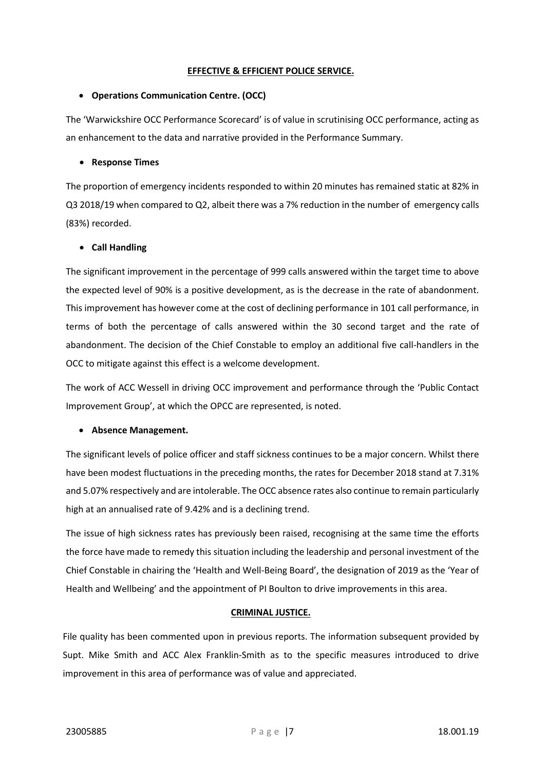#### EFFECTIVE & EFFICIENT POLICE SERVICE.

## Operations Communication Centre. (OCC)

The 'Warwickshire OCC Performance Scorecard' is of value in scrutinising OCC performance, acting as an enhancement to the data and narrative provided in the Performance Summary.

## Response Times

The proportion of emergency incidents responded to within 20 minutes has remained static at 82% in Q3 2018/19 when compared to Q2, albeit there was a 7% reduction in the number of emergency calls (83%) recorded.

# Call Handling

The significant improvement in the percentage of 999 calls answered within the target time to above the expected level of 90% is a positive development, as is the decrease in the rate of abandonment. This improvement has however come at the cost of declining performance in 101 call performance, in terms of both the percentage of calls answered within the 30 second target and the rate of abandonment. The decision of the Chief Constable to employ an additional five call-handlers in the OCC to mitigate against this effect is a welcome development.

The work of ACC Wessell in driving OCC improvement and performance through the 'Public Contact Improvement Group', at which the OPCC are represented, is noted.

# • Absence Management.

The significant levels of police officer and staff sickness continues to be a major concern. Whilst there have been modest fluctuations in the preceding months, the rates for December 2018 stand at 7.31% and 5.07% respectively and are intolerable. The OCC absence rates also continue to remain particularly high at an annualised rate of 9.42% and is a declining trend.

The issue of high sickness rates has previously been raised, recognising at the same time the efforts the force have made to remedy this situation including the leadership and personal investment of the Chief Constable in chairing the 'Health and Well-Being Board', the designation of 2019 as the 'Year of Health and Wellbeing' and the appointment of PI Boulton to drive improvements in this area.

# CRIMINAL JUSTICE.

File quality has been commented upon in previous reports. The information subsequent provided by Supt. Mike Smith and ACC Alex Franklin-Smith as to the specific measures introduced to drive improvement in this area of performance was of value and appreciated.